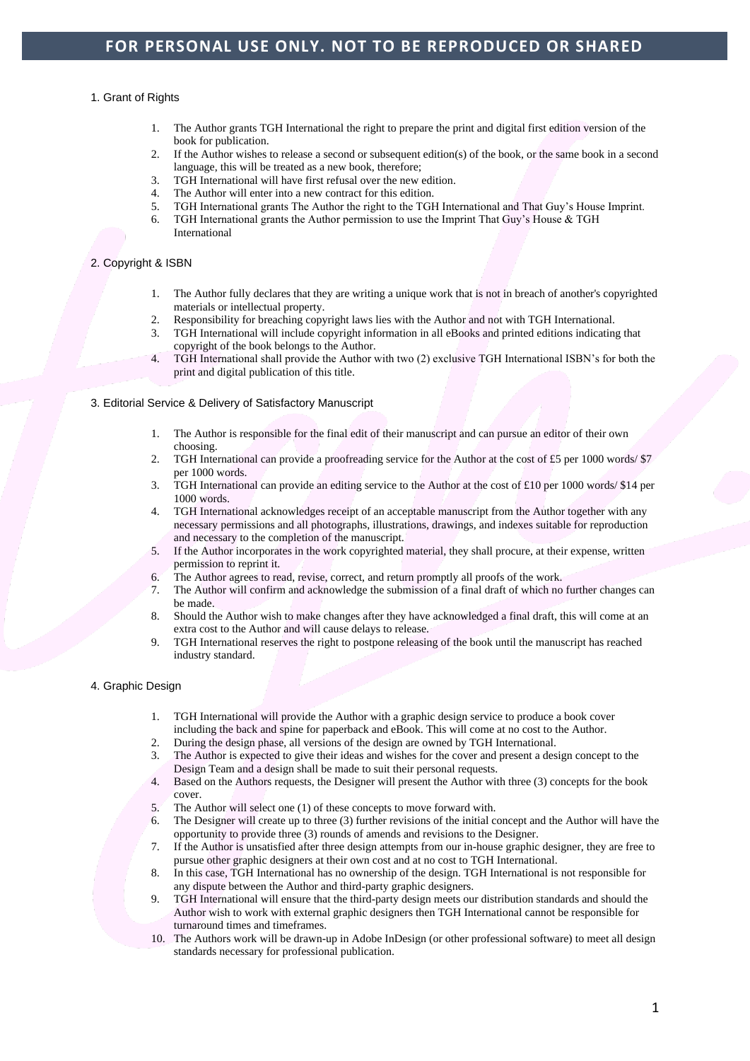#### 1. Grant of Rights

- 1. The Author grants TGH International the right to prepare the print and digital first edition version of the book for publication.
- 2. If the Author wishes to release a second or subsequent edition(s) of the book, or the same book in a second language, this will be treated as a new book, therefore:
- 3. TGH International will have first refusal over the new edition.
- 
- 4. The Author will enter into a new contract for this edition.<br>5. TGH International grants The Author the right to the TGH 5. TGH International grants The Author the right to the TGH International and That Guy's House Imprint.
- TGH International grants the Author permission to use the Imprint That Guy's House & TGH International

#### 2. Copyright & ISBN

- 1. The Author fully declares that they are writing a unique work that is not in breach of another's copyrighted materials or intellectual property.
- 2. Responsibility for breaching copyright laws lies with the Author and not with TGH International.
- 3. TGH International will include copyright information in all eBooks and printed editions indicating that copyright of the book belongs to the Author.
- 4. TGH International shall provide the Author with two (2) exclusive TGH International ISBN's for both the print and digital publication of this title.
- 3. Editorial Service & Delivery of Satisfactory Manuscript
	- 1. The Author is responsible for the final edit of their manuscript and can pursue an editor of their own choosing.
	- 2. TGH International can provide a proofreading service for the Author at the cost of £5 per 1000 words/ \$7 per 1000 words.
	- 3. TGH International can provide an editing service to the Author at the cost of £10 per 1000 words/ \$14 per 1000 words.
	- 4. TGH International acknowledges receipt of an acceptable manuscript from the Author together with any necessary permissions and all photographs, illustrations, drawings, and indexes suitable for reproduction and necessary to the completion of the manuscript.
	- 5. If the Author incorporates in the work copyrighted material, they shall procure, at their expense, written permission to reprint it.
	- 6. The Author agrees to read, revise, correct, and return promptly all proofs of the work.
	- 7. The Author will confirm and acknowledge the submission of a final draft of which no further changes can be made.
	- 8. Should the Author wish to make changes after they have acknowledged a final draft, this will come at an extra cost to the Author and will cause delays to release.
	- 9. TGH International reserves the right to postpone releasing of the book until the manuscript has reached industry standard.

#### 4. Graphic Design

- 1. TGH International will provide the Author with a graphic design service to produce a book cover including the back and spine for paperback and eBook. This will come at no cost to the Author.
- 2. During the design phase, all versions of the design are owned by TGH International.
- 3. The Author is expected to give their ideas and wishes for the cover and present a design concept to the Design Team and a design shall be made to suit their personal requests.
- 4. Based on the Authors requests, the Designer will present the Author with three (3) concepts for the book cover.
- 5. The Author will select one (1) of these concepts to move forward with.
- 6. The Designer will create up to three (3) further revisions of the initial concept and the Author will have the opportunity to provide three (3) rounds of amends and revisions to the Designer.
- 7. If the Author is unsatisfied after three design attempts from our in-house graphic designer, they are free to pursue other graphic designers at their own cost and at no cost to TGH International.
- 8. In this case, TGH International has no ownership of the design. TGH International is not responsible for any dispute between the Author and third-party graphic designers.
- 9. TGH International will ensure that the third-party design meets our distribution standards and should the Author wish to work with external graphic designers then TGH International cannot be responsible for turnaround times and timeframes.
- 10. The Authors work will be drawn-up in Adobe InDesign (or other professional software) to meet all design standards necessary for professional publication.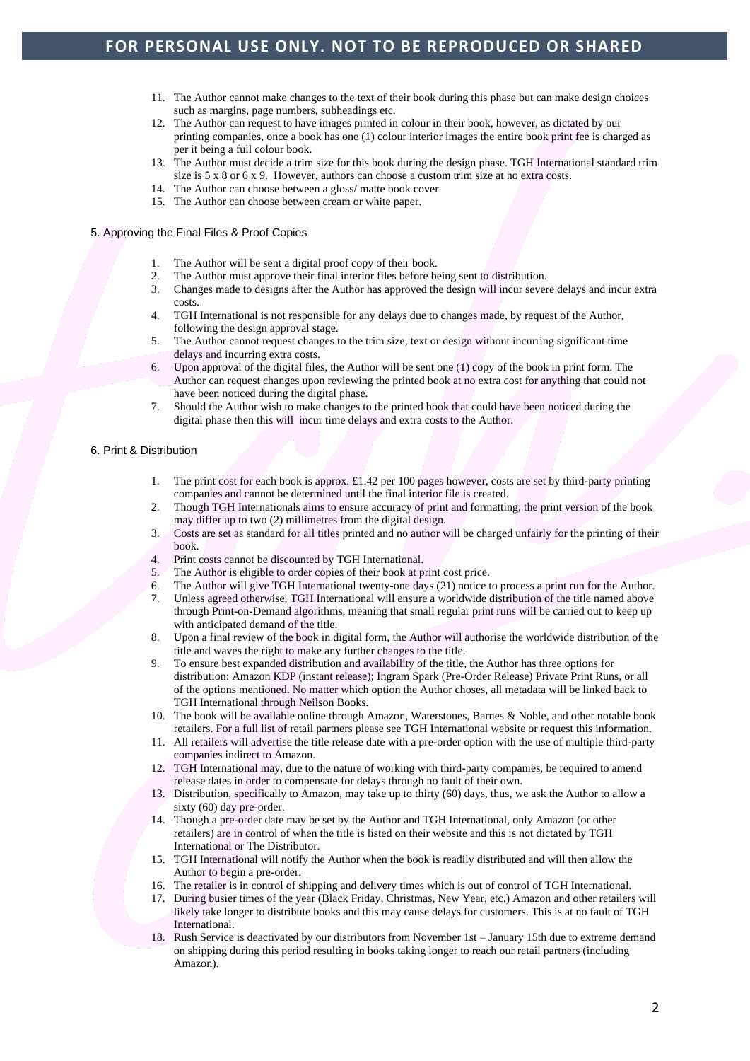# **FOR PERSONAL USE ONLY. NOT TO BE REPRODUCED OR SHARED**

- 11. The Author cannot make changes to the text of their book during this phase but can make design choices such as margins, page numbers, subheadings etc.
- 12. The Author can request to have images printed in colour in their book, however, as dictated by our printing companies, once a book has one (1) colour interior images the entire book print fee is charged as per it being a full colour book.
- 13. The Author must decide a trim size for this book during the design phase. TGH International standard trim size is 5 x 8 or 6 x 9. However, authors can choose a custom trim size at no extra costs.
- 14. The Author can choose between a gloss/ matte book cover
- 15. The Author can choose between cream or white paper.

### 5. Approving the Final Files & Proof Copies

- 1. The Author will be sent a digital proof copy of their book.
- 
- 2. The Author must approve their final interior files before being sent to distribution.<br>3. Changes made to designs after the Author has approved the design will incur sever 3. Changes made to designs after the Author has approved the design will incur severe delays and incur extra costs.
- 4. TGH International is not responsible for any delays due to changes made, by request of the Author, following the design approval stage.
- 5. The Author cannot request changes to the trim size, text or design without incurring significant time delays and incurring extra costs.
- 6. Upon approval of the digital files, the Author will be sent one (1) copy of the book in print form. The Author can request changes upon reviewing the printed book at no extra cost for anything that could not have been noticed during the digital phase.
- 7. Should the Author wish to make changes to the printed book that could have been noticed during the digital phase then this will incur time delays and extra costs to the Author.

### 6. Print & Distribution

- 1. The print cost for each book is approx. £1.42 per 100 pages however, costs are set by third-party printing companies and cannot be determined until the final interior file is created.
- 2. Though TGH Internationals aims to ensure accuracy of print and formatting, the print version of the book may differ up to two (2) millimetres from the digital design.
- 3. Costs are set as standard for all titles printed and no author will be charged unfairly for the printing of their book.
- 4. Print costs cannot be discounted by TGH International.
- 5. The Author is eligible to order copies of their book at print cost price.
- 6. The Author will give TGH International twenty-one days (21) notice to process a print run for the Author.
- 7. Unless agreed otherwise, TGH International will ensure a worldwide distribution of the title named above through Print-on-Demand algorithms, meaning that small regular print runs will be carried out to keep up with anticipated demand of the title.
- 8. Upon a final review of the book in digital form, the Author will authorise the worldwide distribution of the title and waves the right to make any further changes to the title.
- 9. To ensure best expanded distribution and availability of the title, the Author has three options for distribution: Amazon KDP (instant release); Ingram Spark (Pre-Order Release) Private Print Runs, or all of the options mentioned. No matter which option the Author choses, all metadata will be linked back to TGH International through Neilson Books.
- 10. The book will be available online through Amazon, Waterstones, Barnes & Noble, and other notable book retailers. For a full list of retail partners please see TGH International website or request this information.
- 11. All retailers will advertise the title release date with a pre-order option with the use of multiple third-party companies indirect to Amazon.
- 12. TGH International may, due to the nature of working with third-party companies, be required to amend release dates in order to compensate for delays through no fault of their own.
- 13. Distribution, specifically to Amazon, may take up to thirty (60) days, thus, we ask the Author to allow a sixty (60) day pre-order.
- 14. Though a pre-order date may be set by the Author and TGH International, only Amazon (or other retailers) are in control of when the title is listed on their website and this is not dictated by TGH International or The Distributor.
- 15. TGH International will notify the Author when the book is readily distributed and will then allow the Author to begin a pre-order.
- 16. The retailer is in control of shipping and delivery times which is out of control of TGH International.
- 17. During busier times of the year (Black Friday, Christmas, New Year, etc.) Amazon and other retailers will likely take longer to distribute books and this may cause delays for customers. This is at no fault of TGH International.
- 18. Rush Service is deactivated by our distributors from November 1st January 15th due to extreme demand on shipping during this period resulting in books taking longer to reach our retail partners (including Amazon).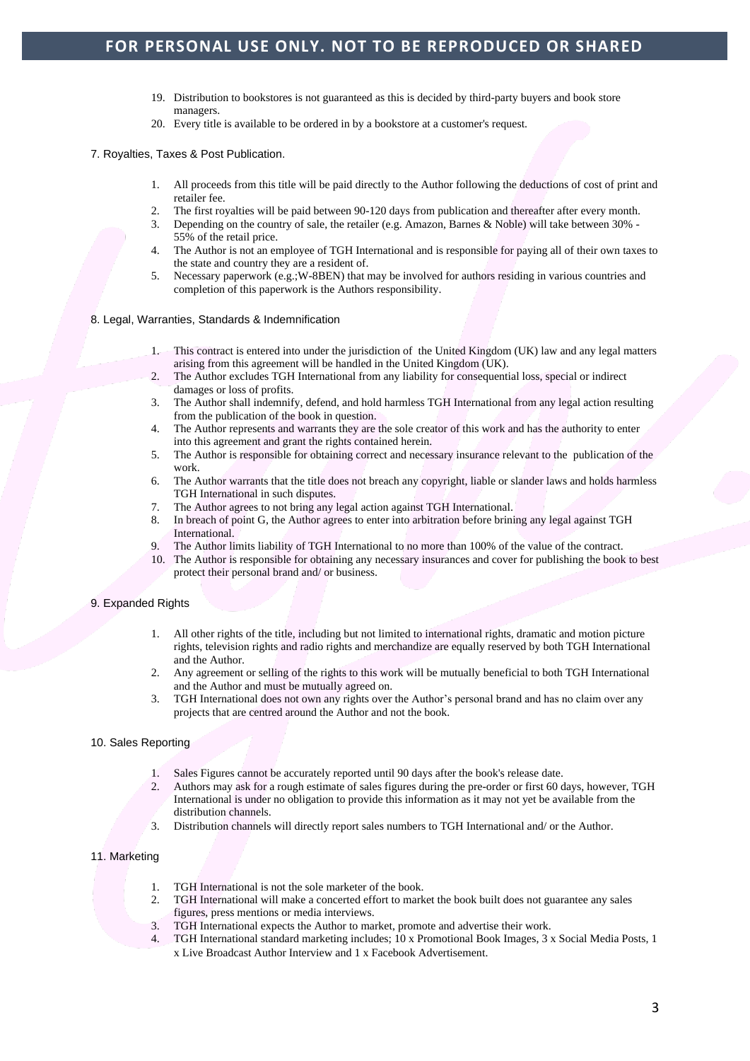# **FOR PERSONAL USE ONLY. NOT TO BE REPRODUCED OR SHARED**

- 19. Distribution to bookstores is not guaranteed as this is decided by third-party buyers and book store managers.
- 20. Every title is available to be ordered in by a bookstore at a customer's request.

7. Royalties, Taxes & Post Publication.

- 1. All proceeds from this title will be paid directly to the Author following the deductions of cost of print and retailer fee.
- 2. The first royalties will be paid between 90-120 days from publication and thereafter after every month.
- 3. Depending on the country of sale, the retailer (e.g. Amazon, Barnes & Noble) will take between 30% 55% of the retail price.
- 4. The Author is not an employee of TGH International and is responsible for paying all of their own taxes to the state and country they are a resident of.
- 5. Necessary paperwork (e.g.;W-8BEN) that may be involved for authors residing in various countries and completion of this paperwork is the Authors responsibility.
- 8. Legal, Warranties, Standards & Indemnification
	- 1. This contract is entered into under the jurisdiction of the United Kingdom (UK) law and any legal matters arising from this agreement will be handled in the United Kingdom (UK).
	- 2. The Author excludes TGH International from any liability for consequential loss, special or indirect damages or loss of profits.
	- 3. The Author shall indemnify, defend, and hold harmless TGH International from any legal action resulting from the publication of the book in question.
	- 4. The Author represents and warrants they are the sole creator of this work and has the authority to enter into this agreement and grant the rights contained herein.
	- 5. The Author is responsible for obtaining correct and necessary insurance relevant to the publication of the work.
	- 6. The Author warrants that the title does not breach any copyright, liable or slander laws and holds harmless TGH International in such disputes.
	- 7. The Author agrees to not bring any legal action against TGH International.
	- 8. In breach of point G, the Author agrees to enter into arbitration before brining any legal against TGH International.
	- 9. The Author limits liability of TGH International to no more than 100% of the value of the contract.
	- 10. The Author is responsible for obtaining any necessary insurances and cover for publishing the book to best protect their personal brand and/ or business.

#### 9. Expanded Rights

- 1. All other rights of the title, including but not limited to international rights, dramatic and motion picture rights, television rights and radio rights and merchandize are equally reserved by both TGH International and the Author.
- 2. Any agreement or selling of the rights to this work will be mutually beneficial to both TGH International and the Author and must be mutually agreed on.
- 3. TGH International does not own any rights over the Author's personal brand and has no claim over any projects that are centred around the Author and not the book.

#### 10. Sales Reporting

- 1. Sales Figures cannot be accurately reported until 90 days after the book's release date.
- 2. Authors may ask for a rough estimate of sales figures during the pre-order or first 60 days, however, TGH International is under no obligation to provide this information as it may not yet be available from the distribution channels.
- 3. Distribution channels will directly report sales numbers to TGH International and/ or the Author.

#### 11. Marketing

- 1. TGH International is not the sole marketer of the book.
- 2. TGH International will make a concerted effort to market the book built does not guarantee any sales figures, press mentions or media interviews.
- 3. TGH International expects the Author to market, promote and advertise their work.
- 4. TGH International standard marketing includes; 10 x Promotional Book Images, 3 x Social Media Posts, 1 x Live Broadcast Author Interview and 1 x Facebook Advertisement.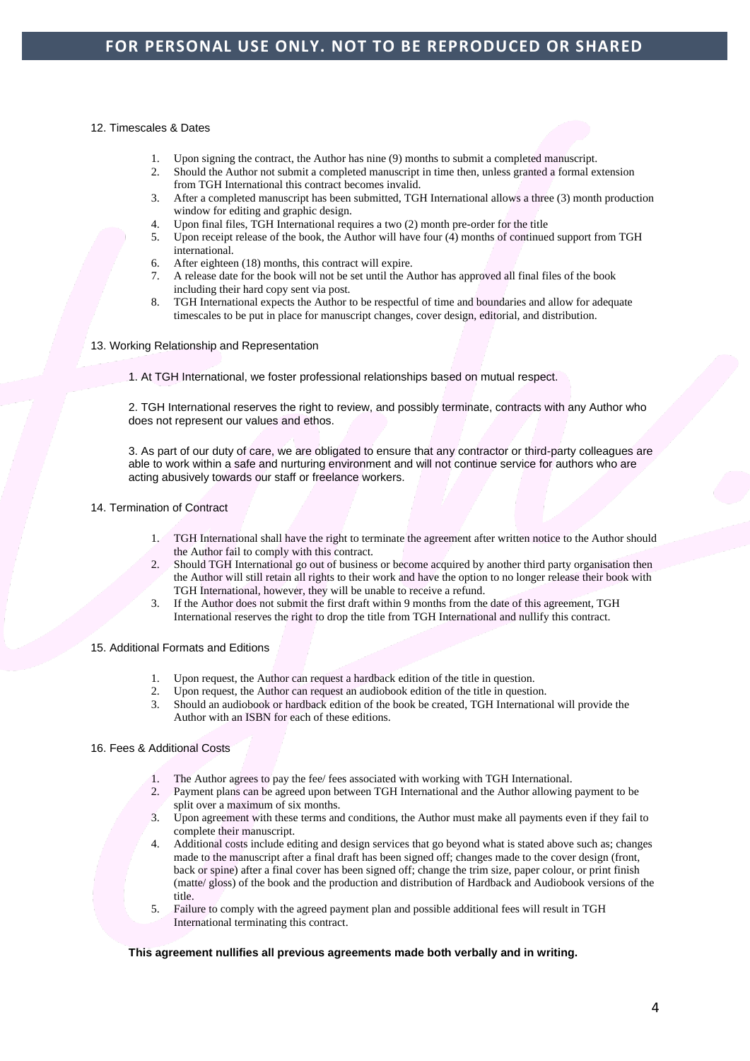#### 12. Timescales & Dates

- 1. Upon signing the contract, the Author has nine (9) months to submit a completed manuscript.
- 2. Should the Author not submit a completed manuscript in time then, unless granted a formal extension from TGH International this contract becomes invalid.
- 3. After a completed manuscript has been submitted, TGH International allows a three (3) month production window for editing and graphic design.
- 4. Upon final files, TGH International requires a two (2) month pre-order for the title
- 5. Upon receipt release of the book, the Author will have four (4) months of continued support from TGH international.
- 6. After eighteen (18) months, this contract will expire.
- 7. A release date for the book will not be set until the Author has approved all final files of the book including their hard copy sent via post.
- 8. TGH International expects the Author to be respectful of time and boundaries and allow for adequate timescales to be put in place for manuscript changes, cover design, editorial, and distribution.
- 13. Working Relationship and Representation
	- 1. At TGH International, we foster professional relationships based on mutual respect.

2. TGH International reserves the right to review, and possibly terminate, contracts with any Author who does not represent our values and ethos.

3. As part of our duty of care, we are obligated to ensure that any contractor or third-party colleagues are able to work within a safe and nurturing environment and will not continue service for authors who are acting abusively towards our staff or freelance workers.

- 14. Termination of Contract
	- 1. TGH International shall have the right to terminate the agreement after written notice to the Author should the Author fail to comply with this contract.
	- 2. Should TGH International go out of business or become acquired by another third party organisation then the Author will still retain all rights to their work and have the option to no longer release their book with TGH International, however, they will be unable to receive a refund.
	- 3. If the Author does not submit the first draft within 9 months from the date of this agreement, TGH International reserves the right to drop the title from TGH International and nullify this contract.
- 15. Additional Formats and Editions
	- 1. Upon request, the Author can request a hardback edition of the title in question.<br>2. Upon request, the Author can request an audiobook edition of the title in question
	- 2. Upon request, the Author can request an audiobook edition of the title in question.
	- 3. Should an audiobook or hardback edition of the book be created, TGH International will provide the Author with an ISBN for each of these editions.

## 16. Fees & Additional Costs

- 1. The Author agrees to pay the fee/ fees associated with working with TGH International.
- 2. Payment plans can be agreed upon between TGH International and the Author allowing payment to be split over a maximum of six months.
- 3. Upon agreement with these terms and conditions, the Author must make all payments even if they fail to complete their manuscript.
- 4. Additional costs include editing and design services that go beyond what is stated above such as; changes made to the manuscript after a final draft has been signed off; changes made to the cover design (front, back or spine) after a final cover has been signed off; change the trim size, paper colour, or print finish (matte/ gloss) of the book and the production and distribution of Hardback and Audiobook versions of the title.
- 5. Failure to comply with the agreed payment plan and possible additional fees will result in TGH International terminating this contract.

## **This agreement nullifies all previous agreements made both verbally and in writing.**